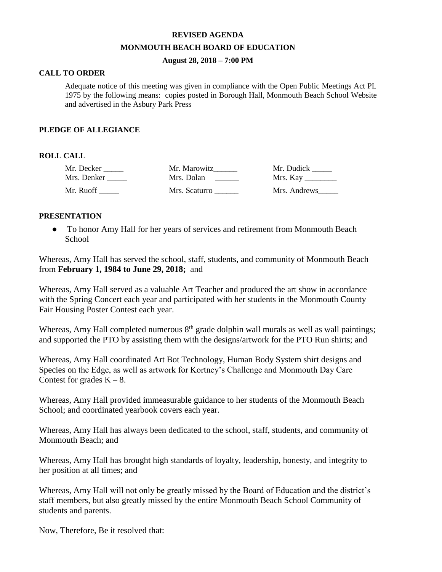# **REVISED AGENDA MONMOUTH BEACH BOARD OF EDUCATION**

# **August 28, 2018 – 7:00 PM**

# **CALL TO ORDER**

Adequate notice of this meeting was given in compliance with the Open Public Meetings Act PL 1975 by the following means: copies posted in Borough Hall, Monmouth Beach School Website and advertised in the Asbury Park Press

# **PLEDGE OF ALLEGIANCE**

# **ROLL CALL**

| Mr. Decker  | Mr. Marowitz  | Mr. Dudick      |
|-------------|---------------|-----------------|
| Mrs. Denker | Mrs. Dolan    | Mrs. Kay $\_\_$ |
| Mr. Ruoff   | Mrs. Scaturro | Mrs. Andrews    |

# **PRESENTATION**

● To honor Amy Hall for her years of services and retirement from Monmouth Beach School

Whereas, Amy Hall has served the school, staff, students, and community of Monmouth Beach from **February 1, 1984 to June 29, 2018;** and

Whereas, Amy Hall served as a valuable Art Teacher and produced the art show in accordance with the Spring Concert each year and participated with her students in the Monmouth County Fair Housing Poster Contest each year.

Whereas, Amy Hall completed numerous  $8<sup>th</sup>$  grade dolphin wall murals as well as wall paintings; and supported the PTO by assisting them with the designs/artwork for the PTO Run shirts; and

Whereas, Amy Hall coordinated Art Bot Technology, Human Body System shirt designs and Species on the Edge, as well as artwork for Kortney's Challenge and Monmouth Day Care Contest for grades  $K - 8$ .

Whereas, Amy Hall provided immeasurable guidance to her students of the Monmouth Beach School; and coordinated yearbook covers each year.

Whereas, Amy Hall has always been dedicated to the school, staff, students, and community of Monmouth Beach; and

Whereas, Amy Hall has brought high standards of loyalty, leadership, honesty, and integrity to her position at all times; and

Whereas, Amy Hall will not only be greatly missed by the Board of Education and the district's staff members, but also greatly missed by the entire Monmouth Beach School Community of students and parents.

Now, Therefore, Be it resolved that: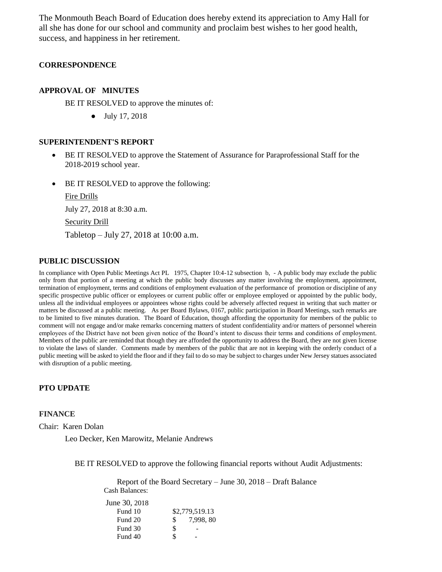The Monmouth Beach Board of Education does hereby extend its appreciation to Amy Hall for all she has done for our school and community and proclaim best wishes to her good health, success, and happiness in her retirement.

# **CORRESPONDENCE**

# **APPROVAL OF MINUTES**

BE IT RESOLVED to approve the minutes of:

● July 17, 2018

#### **SUPERINTENDENT'S REPORT**

- BE IT RESOLVED to approve the Statement of Assurance for Paraprofessional Staff for the 2018-2019 school year.
- BE IT RESOLVED to approve the following:

Fire Drills July 27, 2018 at 8:30 a.m. Security Drill Tabletop – July 27, 2018 at 10:00 a.m.

### **PUBLIC DISCUSSION**

In compliance with Open Public Meetings Act PL 1975, Chapter 10:4-12 subsection b, - A public body may exclude the public only from that portion of a meeting at which the public body discusses any matter involving the employment, appointment, termination of employment, terms and conditions of employment evaluation of the performance of promotion or discipline of any specific prospective public officer or employees or current public offer or employee employed or appointed by the public body, unless all the individual employees or appointees whose rights could be adversely affected request in writing that such matter or matters be discussed at a public meeting. As per Board Bylaws, 0167, public participation in Board Meetings, such remarks are to be limited to five minutes duration. The Board of Education, though affording the opportunity for members of the public to comment will not engage and/or make remarks concerning matters of student confidentiality and/or matters of personnel wherein employees of the District have not been given notice of the Board's intent to discuss their terms and conditions of employment. Members of the public are reminded that though they are afforded the opportunity to address the Board, they are not given license to violate the laws of slander. Comments made by members of the public that are not in keeping with the orderly conduct of a public meeting will be asked to yield the floor and if they fail to do so may be subject to charges under New Jersey statues associated with disruption of a public meeting.

## **PTO UPDATE**

### **FINANCE**

Chair: Karen Dolan

Leo Decker, Ken Marowitz, Melanie Andrews

BE IT RESOLVED to approve the following financial reports without Audit Adjustments:

Report of the Board Secretary – June 30, 2018 – Draft Balance Cash Balances:

| June 30, 2018 |    |                |
|---------------|----|----------------|
| Fund 10       |    | \$2,779,519.13 |
| Fund 20       | S. | 7,998, 80      |
| Fund 30       | S  |                |
| Fund 40       | ፍ  |                |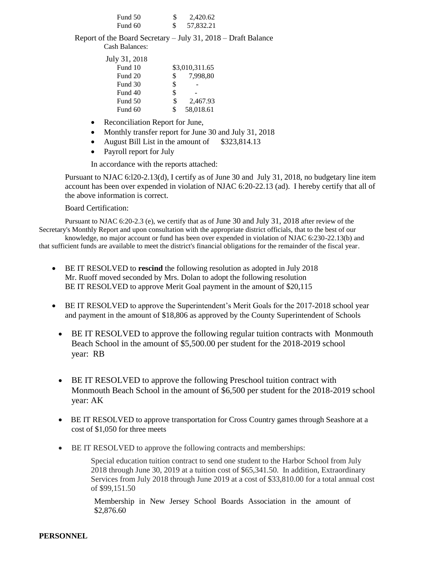| Fund 50 | 2,420.62  |
|---------|-----------|
| Fund 60 | 57,832.21 |

Report of the Board Secretary – July 31, 2018 – Draft Balance Cash Balances:

| July 31, 2018 |    |                |
|---------------|----|----------------|
| Fund 10       |    | \$3,010,311.65 |
| Fund 20       | S  | 7,998,80       |
| Fund 30       | \$ |                |
| Fund 40       | \$ |                |
| Fund 50       | \$ | 2,467.93       |
| Fund 60       | \$ | 58,018.61      |

- Reconciliation Report for June,
- Monthly transfer report for June 30 and July 31, 2018
- August Bill List in the amount of  $$323,814.13$
- Payroll report for July

In accordance with the reports attached:

Pursuant to NJAC 6:l20-2.13(d), I certify as of June 30 and July 31, 2018, no budgetary line item account has been over expended in violation of NJAC 6:20-22.13 (ad). I hereby certify that all of the above information is correct.

Board Certification:

Pursuant to NJAC 6:20-2.3 (e), we certify that as of June 30 and July 31, 2018 after review of the Secretary's Monthly Report and upon consultation with the appropriate district officials, that to the best of our

knowledge, no major account or fund has been over expended in violation of NJAC 6:230-22.13(b) and that sufficient funds are available to meet the district's financial obligations for the remainder of the fiscal year.

- BE IT RESOLVED to **rescind** the following resolution as adopted in July 2018 Mr. Ruoff moved seconded by Mrs. Dolan to adopt the following resolution BE IT RESOLVED to approve Merit Goal payment in the amount of \$20,115
- BE IT RESOLVED to approve the Superintendent's Merit Goals for the 2017-2018 school year and payment in the amount of \$18,806 as approved by the County Superintendent of Schools
	- BE IT RESOLVED to approve the following regular tuition contracts with Monmouth Beach School in the amount of \$5,500.00 per student for the 2018-2019 school year: RB
	- BE IT RESOLVED to approve the following Preschool tuition contract with Monmouth Beach School in the amount of \$6,500 per student for the 2018-2019 school year: AK
	- BE IT RESOLVED to approve transportation for Cross Country games through Seashore at a cost of \$1,050 for three meets
	- BE IT RESOLVED to approve the following contracts and memberships:

Special education tuition contract to send one student to the Harbor School from July 2018 through June 30, 2019 at a tuition cost of \$65,341.50. In addition, Extraordinary Services from July 2018 through June 2019 at a cost of \$33,810.00 for a total annual cost of \$99,151.50

Membership in New Jersey School Boards Association in the amount of \$2,876.60

## **PERSONNEL**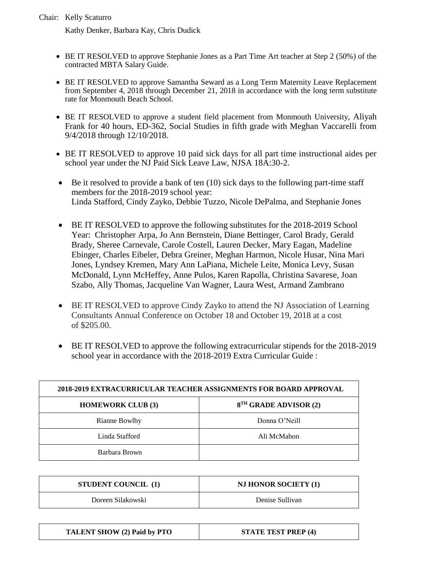Kathy Denker, Barbara Kay, Chris Dudick

- BE IT RESOLVED to approve Stephanie Jones as a Part Time Art teacher at Step 2 (50%) of the contracted MBTA Salary Guide.
- BE IT RESOLVED to approve Samantha Seward as a Long Term Maternity Leave Replacement from September 4, 2018 through December 21, 2018 in accordance with the long term substitute rate for Monmouth Beach School.
- BE IT RESOLVED to approve a student field placement from Monmouth University, Aliyah Frank for 40 hours, ED-362, Social Studies in fifth grade with Meghan Vaccarelli from 9/4/2018 through 12/10/2018.
- BE IT RESOLVED to approve 10 paid sick days for all part time instructional aides per school year under the NJ Paid Sick Leave Law, NJSA 18A:30-2.
- $\bullet$  Be it resolved to provide a bank of ten (10) sick days to the following part-time staff members for the 2018-2019 school year: Linda Stafford, Cindy Zayko, Debbie Tuzzo, Nicole DePalma, and Stephanie Jones
- BE IT RESOLVED to approve the following substitutes for the 2018-2019 School Year: Christopher Arpa, Jo Ann Bernstein, Diane Bettinger, Carol Brady, Gerald Brady, Sheree Carnevale, Carole Costell, Lauren Decker, Mary Eagan, Madeline Ebinger, Charles Eibeler, Debra Greiner, Meghan Harmon, Nicole Husar, Nina Mari Jones, Lyndsey Kremen, Mary Ann LaPiana, Michele Leite, Monica Levy, Susan McDonald, Lynn McHeffey, Anne Pulos, Karen Rapolla, Christina Savarese, Joan Szabo, Ally Thomas, Jacqueline Van Wagner, Laura West, Armand Zambrano
- BE IT RESOLVED to approve Cindy Zayko to attend the NJ Association of Learning Consultants Annual Conference on October 18 and October 19, 2018 at a cost of \$205.00.
- BE IT RESOLVED to approve the following extracurricular stipends for the 2018-2019 school year in accordance with the 2018-2019 Extra Curricular Guide :

| 2018-2019 EXTRACURRICULAR TEACHER ASSIGNMENTS FOR BOARD APPROVAL |                                   |  |
|------------------------------------------------------------------|-----------------------------------|--|
| <b>HOMEWORK CLUB (3)</b>                                         | 8 <sup>TH</sup> GRADE ADVISOR (2) |  |
| Rianne Bowlby                                                    | Donna O'Neill                     |  |
| Linda Stafford                                                   | Ali McMahon                       |  |
| Barbara Brown                                                    |                                   |  |

| <b>STUDENT COUNCIL</b> (1) | <b>NJ HONOR SOCIETY (1)</b> |
|----------------------------|-----------------------------|
| Doreen Silakowski          | Denise Sullivan             |

**TALENT SHOW (2) Paid by PTO STATE TEST PREP (4)**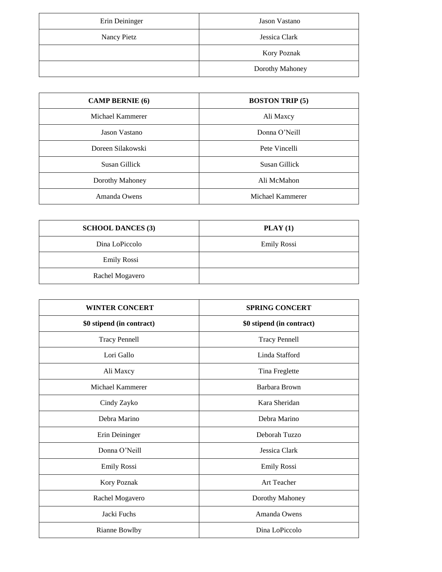| Erin Deininger | Jason Vastano      |
|----------------|--------------------|
| Nancy Pietz    | Jessica Clark      |
|                | <b>Kory Poznak</b> |
|                | Dorothy Mahoney    |

| <b>CAMP BERNIE</b> (6) | <b>BOSTON TRIP (5)</b> |
|------------------------|------------------------|
| Michael Kammerer       | Ali Maxcy              |
| Jason Vastano          | Donna O'Neill          |
| Doreen Silakowski      | Pete Vincelli          |
| Susan Gillick          | Susan Gillick          |
| Dorothy Mahoney        | Ali McMahon            |
| Amanda Owens           | Michael Kammerer       |

| <b>SCHOOL DANCES (3)</b> | $\textbf{PLAY}(1)$ |
|--------------------------|--------------------|
| Dina LoPiccolo           | <b>Emily Rossi</b> |
| <b>Emily Rossi</b>       |                    |
| Rachel Mogavero          |                    |

| <b>WINTER CONCERT</b>     | <b>SPRING CONCERT</b>     |
|---------------------------|---------------------------|
| \$0 stipend (in contract) | \$0 stipend (in contract) |
| <b>Tracy Pennell</b>      | <b>Tracy Pennell</b>      |
| Lori Gallo                | Linda Stafford            |
| Ali Maxcy                 | Tina Freglette            |
| Michael Kammerer          | Barbara Brown             |
| Cindy Zayko               | Kara Sheridan             |
| Debra Marino              | Debra Marino              |
| Erin Deininger            | Deborah Tuzzo             |
| Donna O'Neill             | Jessica Clark             |
| Emily Rossi               | Emily Rossi               |
| Kory Poznak               | <b>Art Teacher</b>        |
| Rachel Mogavero           | Dorothy Mahoney           |
| Jacki Fuchs               | Amanda Owens              |
| Rianne Bowlby             | Dina LoPiccolo            |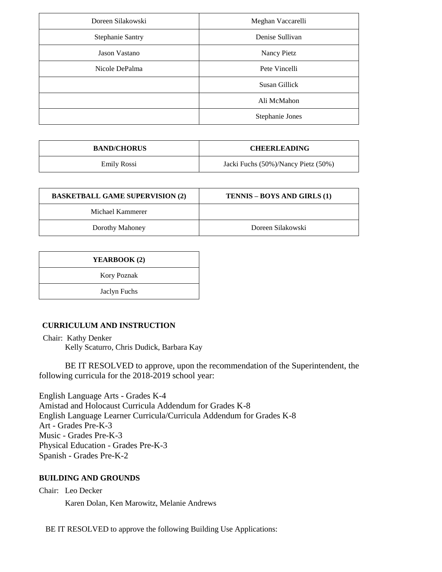| Doreen Silakowski       | Meghan Vaccarelli  |
|-------------------------|--------------------|
| <b>Stephanie Santry</b> | Denise Sullivan    |
| Jason Vastano           | <b>Nancy Pietz</b> |
| Nicole DePalma          | Pete Vincelli      |
|                         | Susan Gillick      |
|                         | Ali McMahon        |
|                         | Stephanie Jones    |

| <b>BAND/CHORUS</b> | <b>CHEERLEADING</b>                 |
|--------------------|-------------------------------------|
| Emily Rossi        | Jacki Fuchs (50%)/Nancy Pietz (50%) |

| <b>BASKETBALL GAME SUPERVISION (2)</b> | TENNIS – BOYS AND GIRLS (1) |  |  |  |
|----------------------------------------|-----------------------------|--|--|--|
| Michael Kammerer                       |                             |  |  |  |
| Dorothy Mahoney                        | Doreen Silakowski           |  |  |  |

| YEARBOOK (2)       |  |
|--------------------|--|
| <b>Kory Poznak</b> |  |
| Jaclyn Fuchs       |  |

# **CURRICULUM AND INSTRUCTION**

Chair: Kathy Denker Kelly Scaturro, Chris Dudick, Barbara Kay

BE IT RESOLVED to approve, upon the recommendation of the Superintendent, the following curricula for the 2018-2019 school year:

English Language Arts - Grades K-4 Amistad and Holocaust Curricula Addendum for Grades K-8 English Language Learner Curricula/Curricula Addendum for Grades K-8 Art - Grades Pre-K-3 Music - Grades Pre-K-3 Physical Education - Grades Pre-K-3 Spanish - Grades Pre-K-2

# **BUILDING AND GROUNDS**

Chair: Leo Decker

Karen Dolan, Ken Marowitz, Melanie Andrews

BE IT RESOLVED to approve the following Building Use Applications: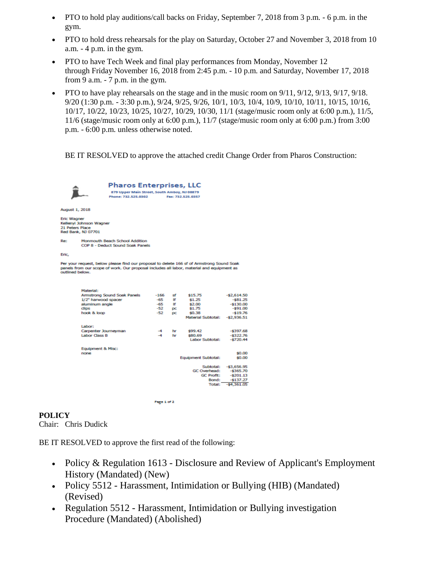- PTO to hold play auditions/call backs on Friday, September 7, 2018 from 3 p.m. 6 p.m. in the gym.
- PTO to hold dress rehearsals for the play on Saturday, October 27 and November 3, 2018 from 10 a.m. - 4 p.m. in the gym.
- PTO to have Tech Week and final play performances from Monday, November 12 through Friday November 16, 2018 from 2:45 p.m. - 10 p.m. and Saturday, November 17, 2018 from 9 a.m. - 7 p.m. in the gym.
- PTO to have play rehearsals on the stage and in the music room on 9/11, 9/12, 9/13, 9/17, 9/18. 9/20 (1:30 p.m. - 3:30 p.m.), 9/24, 9/25, 9/26, 10/1, 10/3, 10/4, 10/9, 10/10, 10/11, 10/15, 10/16, 10/17, 10/22, 10/23, 10/25, 10/27, 10/29, 10/30, 11/1 (stage/music room only at 6:00 p.m.), 11/5, 11/6 (stage/music room only at 6:00 p.m.),  $11/7$  (stage/music room only at 6:00 p.m.) from 3:00 p.m. - 6:00 p.m. unless otherwise noted.

BE IT RESOLVED to approve the attached credit Change Order from Pharos Construction:

|                                                                                                                                                                                                           |                                                                    | <b>Pharos Enterprises, LLC</b><br>879 Upper Main Street, South Amboy, NJ 08879<br>Phone: 732, 525, 0302 |        |           | Fax: 732.525.0357          |              |  |
|-----------------------------------------------------------------------------------------------------------------------------------------------------------------------------------------------------------|--------------------------------------------------------------------|---------------------------------------------------------------------------------------------------------|--------|-----------|----------------------------|--------------|--|
| August 1, 2018                                                                                                                                                                                            |                                                                    |                                                                                                         |        |           |                            |              |  |
| <b>Eric Wagner</b><br>21 Peters Place                                                                                                                                                                     | Kellenvi Johnson Wagner<br>Red Bank, NJ 07701                      |                                                                                                         |        |           |                            |              |  |
| Re:                                                                                                                                                                                                       | Monmouth Beach School Addition<br>COP 8 - Deduct Sound Soak Panels |                                                                                                         |        |           |                            |              |  |
| Eric.                                                                                                                                                                                                     |                                                                    |                                                                                                         |        |           |                            |              |  |
| Per your request, below please find our proposal to delete 166 sf of Armstrong Sound Soak<br>panels from our scope of work. Our proposal includes all labor, material and equipment as<br>outlined below. |                                                                    |                                                                                                         |        |           |                            |              |  |
|                                                                                                                                                                                                           | Material:                                                          |                                                                                                         |        |           |                            |              |  |
|                                                                                                                                                                                                           |                                                                    | Armstrong Sound Soak Panels                                                                             | $-166$ | sf        | \$15.75                    | $-52,614.50$ |  |
|                                                                                                                                                                                                           | 1/2" harwood spacer                                                |                                                                                                         | $-65$  | Ħ         | \$1.25                     | $-581.25$    |  |
|                                                                                                                                                                                                           | aluminum angle                                                     |                                                                                                         | $-65$  | <b>If</b> | \$2.00                     | $-5130.00$   |  |
|                                                                                                                                                                                                           | dips                                                               |                                                                                                         | $-52$  | DC        | \$1.75                     | $-591.00$    |  |
|                                                                                                                                                                                                           | hook & loop                                                        |                                                                                                         | -52    | рc        | \$0.38                     | $-519.76$    |  |
|                                                                                                                                                                                                           |                                                                    |                                                                                                         |        |           | <b>Material Subtotal:</b>  | $-52,936.51$ |  |
|                                                                                                                                                                                                           | Labor:                                                             |                                                                                                         |        |           |                            |              |  |
|                                                                                                                                                                                                           | Carpenter Journeyman                                               |                                                                                                         | $-4$   | hr        | \$99.42                    | $-5397.68$   |  |
|                                                                                                                                                                                                           | <b>Labor Class B</b>                                               |                                                                                                         | $-4$   | hr        | \$80.69                    | $-5322.76$   |  |
|                                                                                                                                                                                                           |                                                                    |                                                                                                         |        |           | <b>Labor Subtotal:</b>     | $-5720.44$   |  |
|                                                                                                                                                                                                           | <b>Equipment &amp; Misc:</b>                                       |                                                                                                         |        |           |                            |              |  |
|                                                                                                                                                                                                           | none                                                               |                                                                                                         |        |           |                            | \$0.00       |  |
|                                                                                                                                                                                                           |                                                                    |                                                                                                         |        |           | <b>Equipment Subtotal:</b> | \$0.00       |  |
|                                                                                                                                                                                                           |                                                                    |                                                                                                         |        |           |                            |              |  |
|                                                                                                                                                                                                           |                                                                    |                                                                                                         |        |           | Subtotal:                  | $-53.656.95$ |  |
|                                                                                                                                                                                                           |                                                                    |                                                                                                         |        |           | GC Overhead:               | $-5365.70$   |  |
|                                                                                                                                                                                                           |                                                                    |                                                                                                         |        |           | <b>GC Profit:</b>          | $-5201.13$   |  |
|                                                                                                                                                                                                           |                                                                    |                                                                                                         |        |           | Bond:                      | $-5137.27$   |  |
|                                                                                                                                                                                                           |                                                                    |                                                                                                         |        |           | Total:                     | $-54,361.05$ |  |
|                                                                                                                                                                                                           |                                                                    |                                                                                                         |        |           |                            |              |  |

Page 1 of 2

# **POLICY**

Chair: Chris Dudick

BE IT RESOLVED to approve the first read of the following:

• Policy & Regulation 1613 - Disclosure and Review of Applicant's Employment History (Mandated) (New)

- Policy 5512 Harassment, Intimidation or Bullying (HIB) (Mandated) (Revised)
- Regulation 5512 Harassment, Intimidation or Bullying investigation Procedure (Mandated) (Abolished)